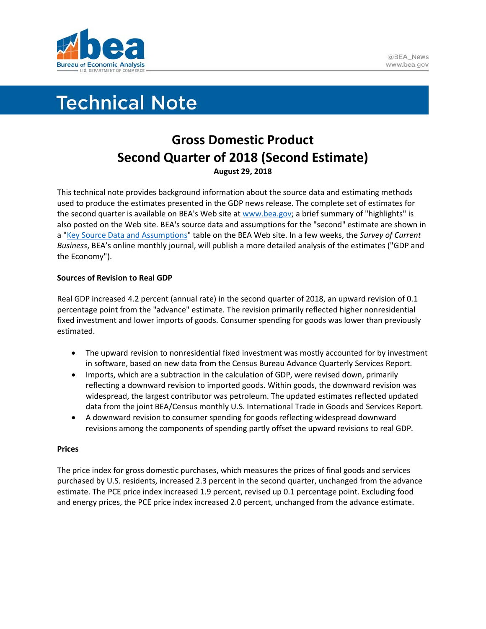

# **Technical Note**

# **Gross Domestic Product Second Quarter of 2018 (Second Estimate) August 29, 2018**

This technical note provides background information about the source data and estimating methods used to produce the estimates presented in the GDP news release. The complete set of estimates for the second quarter is available on BEA's Web site a[t www.bea.gov;](http://www.bea.gov/) a brief summary of "highlights" is also posted on the Web site. BEA's source data and assumptions for the "second" estimate are shown in a ["Key Source Data and Assumptions"](https://www.bea.gov/system/files/2018-10/gdpkeysource_2q18_08-30-18.xlsx) table on the BEA Web site. In a few weeks, the *Survey of Current Business*, BEA's online monthly journal, will publish a more detailed analysis of the estimates ("GDP and the Economy").

## **Sources of Revision to Real GDP**

Real GDP increased 4.2 percent (annual rate) in the second quarter of 2018, an upward revision of 0.1 percentage point from the "advance" estimate. The revision primarily reflected higher nonresidential fixed investment and lower imports of goods. Consumer spending for goods was lower than previously estimated.

- The upward revision to nonresidential fixed investment was mostly accounted for by investment in software, based on new data from the Census Bureau Advance Quarterly Services Report.
- Imports, which are a subtraction in the calculation of GDP, were revised down, primarily reflecting a downward revision to imported goods. Within goods, the downward revision was widespread, the largest contributor was petroleum. The updated estimates reflected updated data from the joint BEA/Census monthly U.S. International Trade in Goods and Services Report.
- A downward revision to consumer spending for goods reflecting widespread downward revisions among the components of spending partly offset the upward revisions to real GDP.

## **Prices**

The price index for gross domestic purchases, which measures the prices of final goods and services purchased by U.S. residents, increased 2.3 percent in the second quarter, unchanged from the advance estimate. The PCE price index increased 1.9 percent, revised up 0.1 percentage point. Excluding food and energy prices, the PCE price index increased 2.0 percent, unchanged from the advance estimate.